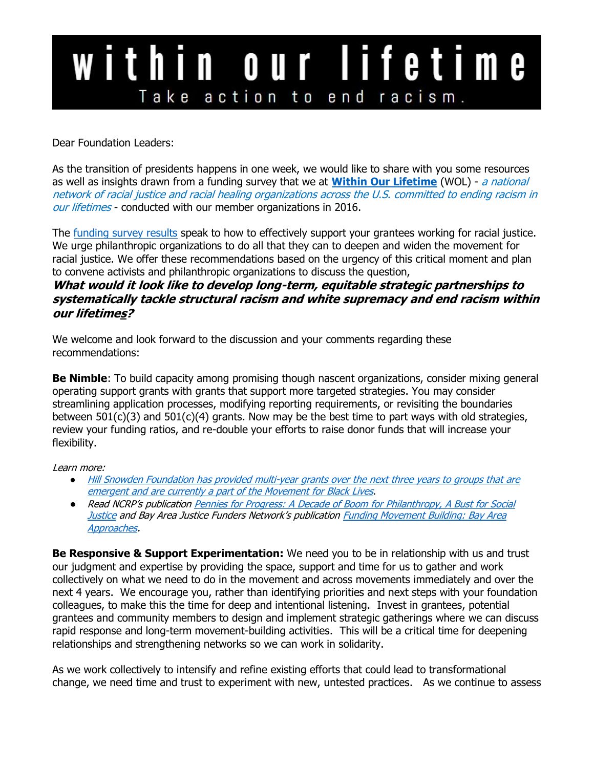## within our lifetime Take action to end racism.

Dear Foundation Leaders:

As the transition of presidents happens in one week, we would like to share with you some resources as well as insights drawn from a funding survey that we at **[Within Our Lifetime](http://www.withinourlifetime.net/vision/index.html)** (WOL) - a national network of racial justice and racial healing organizations across the U.S. committed to ending racism in our lifetimes - conducted with our member organizations in 2016.

The <u>funding survey results</u> speak to how to effectively support your grantees working for racial justice. We urge philanthropic organizations to do all that they can to deepen and widen the movement for racial justice. We offer these recommendations based on the urgency of this critical moment and plan to convene activists and philanthropic organizations to discuss the question,

### **What would it look like to develop long-term, equitable strategic partnerships to systematically tackle structural racism and white supremacy and end racism within our lifetimes?**

We welcome and look forward to the discussion and your comments regarding these recommendations:

**Be Nimble**: To build capacity among promising though nascent organizations, consider mixing general operating support grants with grants that support more targeted strategies. You may consider streamlining application processes, modifying reporting requirements, or revisiting the boundaries between  $501(c)(3)$  and  $501(c)(4)$  grants. Now may be the best time to part ways with old strategies, review your funding ratios, and re-double your efforts to raise donor funds that will increase your flexibility.

Learn more:

- [Hill Snowden Foundation has provided multi-year grants over the next three years to groups that are](http://www.makingblacklivesmatter.org/organizations)  [emergent and are currently a part of the Movement for Black Lives](http://www.makingblacklivesmatter.org/organizations).
- Read NCRP's publication [Pennies for Progress: A Decade of Boom for Philanthropy, A Bust for Social](https://www.ncrp.org/wp-content/uploads/2016/11/Pennies-for-Progress-highres.pdf)  [Justice](https://www.ncrp.org/wp-content/uploads/2016/11/Pennies-for-Progress-highres.pdf) and Bay Area Justice Funders Network's publication **Funding Movement Building: Bay Area** [Approaches](http://www.racialequitytools.org/resourcefiles/fundingmovementbldtbayarea.pdf).

**Be Responsive & Support Experimentation:** We need you to be in relationship with us and trust our judgment and expertise by providing the space, support and time for us to gather and work collectively on what we need to do in the movement and across movements immediately and over the next 4 years. We encourage you, rather than identifying priorities and next steps with your foundation colleagues, to make this the time for deep and intentional listening. Invest in grantees, potential grantees and community members to design and implement strategic gatherings where we can discuss rapid response and long-term movement-building activities. This will be a critical time for deepening relationships and strengthening networks so we can work in solidarity.

As we work collectively to intensify and refine existing efforts that could lead to transformational change, we need time and trust to experiment with new, untested practices. As we continue to assess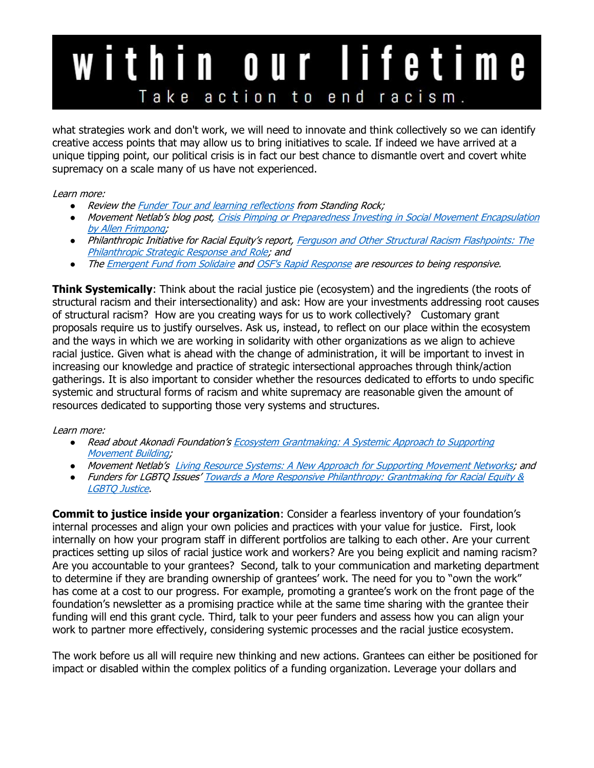# within our lifetime Take action to end racism.

what strategies work and don't work, we will need to innovate and think collectively so we can identify creative access points that may allow us to bring initiatives to scale. If indeed we have arrived at a unique tipping point, our political crisis is in fact our best chance to dismantle overt and covert white supremacy on a scale many of us have not experienced.

#### Learn more:

- Review the **Funder Tour and learning reflections from Standing Rock;**
- Movement Netlab's blog post, Crisis Pimping or Preparedness Investing in Social Movement Encapsulation [by Allen Frimpong;](http://movementnetlab.org/crisis-pimping-or-preparedness-investing-in-social-movement-encapsulation/)
- Philanthropic Initiative for Racial Equity's report, Ferguson and Other Structural Racism Flashpoints: The [Philanthropic Strategic Response and Role;](http://racialequity.org/docs/FergusonAndOtherSRflashpointsSynthesis.pdf?utm_source=Copy+of+Copy+of+Sustaining+Racial+Justice+Action+in+Philanthropy%3A+Ferguson+%26+Be&utm_campaign=Post-Ferguson%2FWhat+next+announcement++&utm_medium=email) and
- Th[e Emergent Fund from Solidaire](https://www.emergentfund.net/) an[d OSF's Rapid Response](https://www.opensocietyfoundations.org/grants/communities-against-hate-20161122) are resources to being responsive.

**Think Systemically**: Think about the racial justice pie (ecosystem) and the ingredients (the roots of structural racism and their intersectionality) and ask: How are your investments addressing root causes of structural racism? How are you creating ways for us to work collectively? Customary grant proposals require us to justify ourselves. Ask us, instead, to reflect on our place within the ecosystem and the ways in which we are working in solidarity with other organizations as we align to achieve racial justice. Given what is ahead with the change of administration, it will be important to invest in increasing our knowledge and practice of strategic intersectional approaches through think/action gatherings. It is also important to consider whether the resources dedicated to efforts to undo specific systemic and structural forms of racism and white supremacy are reasonable given the amount of resources dedicated to supporting those very systems and structures.

### Learn more:

- Read about Akonadi Foundation's Ecosystem Grantmaking: A Systemic Approach to Supporting [Movement Building;](http://www.racialequitytools.org/resourcefiles/akonadi_ecosystem_grantmaking_FINAL.pdf)
- Movement Netlab's [Living Resource Systems: A New Approach for Supporting Movement Networks;](http://movementnetlab.org/living-resource-systems-a-new-approach-for-supporting-movement-networks/) and
- Funders for LGBTQ Issues' Towards a More Responsive Philanthropy: Grantmaking for Racial Equity & [LGBTQ Justice.](https://www.lgbtfunders.org/wp-content/uploads/2016/05/Towards_Responsive_Philanthorpy.pdf)

**Commit to justice inside your organization**: Consider a fearless inventory of your foundation's internal processes and align your own policies and practices with your value for justice. First, look internally on how your program staff in different portfolios are talking to each other. Are your current practices setting up silos of racial justice work and workers? Are you being explicit and naming racism? Are you accountable to your grantees? Second, talk to your communication and marketing department to determine if they are branding ownership of grantees' work. The need for you to "own the work" has come at a cost to our progress. For example, promoting a grantee's work on the front page of the foundation's newsletter as a promising practice while at the same time sharing with the grantee their funding will end this grant cycle. Third, talk to your peer funders and assess how you can align your work to partner more effectively, considering systemic processes and the racial justice ecosystem.

The work before us all will require new thinking and new actions. Grantees can either be positioned for impact or disabled within the complex politics of a funding organization. Leverage your dollars and